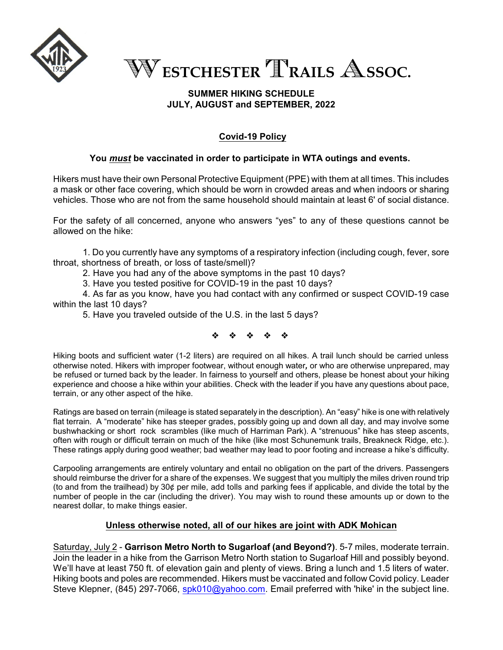

W**ESTCHESTER** T**RAILS** A**SSOC.**

# **SUMMER HIKING SCHEDULE JULY, AUGUST and SEPTEMBER, 2022**

# **Covid-19 Policy**

# **You** *must* **be vaccinated in order to participate in WTA outings and events.**

Hikers must have their own Personal Protective Equipment (PPE) with them at all times. This includes a mask or other face covering, which should be worn in crowded areas and when indoors or sharing vehicles. Those who are not from the same household should maintain at least 6' of social distance.

For the safety of all concerned, anyone who answers "yes" to any of these questions cannot be allowed on the hike:

1. Do you currently have any symptoms of a respiratory infection (including cough, fever, sore throat, shortness of breath, or loss of taste/smell)?

2. Have you had any of the above symptoms in the past 10 days?

3. Have you tested positive for COVID-19 in the past 10 days?

4. As far as you know, have you had contact with any confirmed or suspect COVID-19 case within the last 10 days?

5. Have you traveled outside of the U.S. in the last 5 days?

\* \* \* \* \*

Hiking boots and sufficient water (1-2 liters) are required on all hikes. A trail lunch should be carried unless otherwise noted. Hikers with improper footwear, without enough water*,* or who are otherwise unprepared, may be refused or turned back by the leader. In fairness to yourself and others, please be honest about your hiking experience and choose a hike within your abilities. Check with the leader if you have any questions about pace, terrain, or any other aspect of the hike.

Ratings are based on terrain (mileage is stated separately in the description). An "easy" hike is one with relatively flat terrain. A "moderate" hike has steeper grades, possibly going up and down all day, and may involve some bushwhacking or short rock scrambles (like much of Harriman Park). A "strenuous" hike has steep ascents, often with rough or difficult terrain on much of the hike (like most Schunemunk trails, Breakneck Ridge, etc.). These ratings apply during good weather; bad weather may lead to poor footing and increase a hike's difficulty.

Carpooling arrangements are entirely voluntary and entail no obligation on the part of the drivers. Passengers should reimburse the driver for a share of the expenses. We suggest that you multiply the miles driven round trip (to and from the trailhead) by 30¢ per mile, add tolls and parking fees if applicable, and divide the total by the number of people in the car (including the driver). You may wish to round these amounts up or down to the nearest dollar, to make things easier.

# **Unless otherwise noted, all of our hikes are joint with ADK Mohican**

Saturday, July 2 - **Garrison Metro North to Sugarloaf (and Beyond?)**. 5-7 miles, moderate terrain. Join the leader in a hike from the Garrison Metro North station to Sugarloaf Hill and possibly beyond. We'll have at least 750 ft. of elevation gain and plenty of views. Bring a lunch and 1.5 liters of water. Hiking boots and poles are recommended. Hikers must be vaccinated and follow Covid policy. Leader Steve Klepner, (845) 297-7066, [spk010@yahoo.com](mailto:spk010@yahoo.com). Email preferred with 'hike' in the subject line.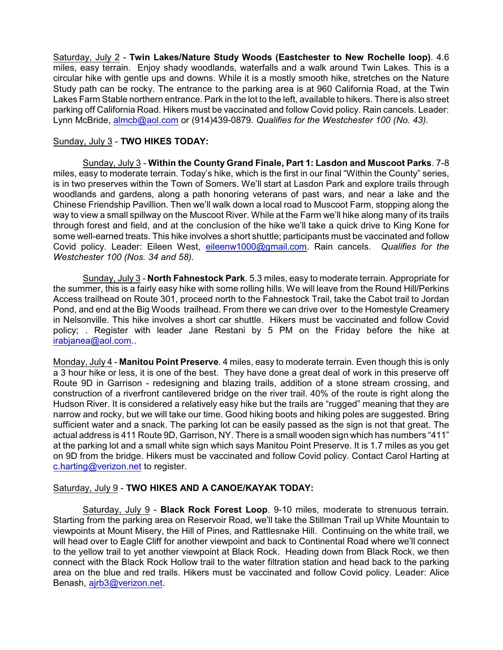Saturday, July 2 - **Twin Lakes/Nature Study Woods (Eastchester to New Rochelle loop)**. 4.6 miles, easy terrain. Enjoy shady woodlands, waterfalls and a walk around Twin Lakes. This is a circular hike with gentle ups and downs. While it is a mostly smooth hike, stretches on the Nature Study path can be rocky. The entrance to the parking area is at 960 California Road, at the Twin Lakes Farm Stable northern entrance. Park in the lot to the left, available to hikers. There is also street parking off California Road. Hikers must be vaccinated and follow Covid policy. Rain cancels. Leader: Lynn McBride, [almcb@aol.com](mailto:almcb@aol.com) or (914)439-0879. *Qualifies for the Westchester 100 (No. 43).*

### Sunday, July 3 - **TWO HIKES TODAY:**

Sunday, July 3 - **Within the County Grand Finale, Part 1: Lasdon and Muscoot Parks**. 7-8 miles, easy to moderate terrain. Today's hike, which is the first in our final "Within the County" series, is in two preserves within the Town of Somers. We'll start at Lasdon Park and explore trails through woodlands and gardens, along a path honoring veterans of past wars, and near a lake and the Chinese Friendship Pavillion. Then we'll walk down a local road to Muscoot Farm, stopping along the way to view a small spillway on the Muscoot River. While at the Farm we'll hike along many of its trails through forest and field, and at the conclusion of the hike we'll take a quick drive to King Kone for some well-earned treats. This hike involves a short shuttle; participants must be vaccinated and follow Covid policy. Leader: Eileen West, [eileenw1000@gmail.com](mailto:eileenw1000@gmail.com). Rain cancels. *Qualifies for the Westchester 100 (Nos. 34 and 58).*

Sunday, July 3 - **North Fahnestock Park**. 5.3 miles, easy to moderate terrain. Appropriate for the summer, this is a fairly easy hike with some rolling hills. We will leave from the Round Hill/Perkins Access trailhead on Route 301, proceed north to the Fahnestock Trail, take the Cabot trail to Jordan Pond, and end at the Big Woods trailhead. From there we can drive over to the Homestyle Creamery in Nelsonville. This hike involves a short car shuttle. Hikers must be vaccinated and follow Covid policy; . Register with leader Jane Restani by 5 PM on the Friday before the hike at [irabjanea@aol.com](mailto:irabjanea@aol.com)..

Monday, July 4 - **Manitou Point Preserve**. 4 miles, easy to moderate terrain. Even though this is only a 3 hour hike or less, it is one of the best. They have done a great deal of work in this preserve off Route 9D in Garrison - redesigning and blazing trails, addition of a stone stream crossing, and construction of a riverfront cantilevered bridge on the river trail. 40% of the route is right along the Hudson River. It is considered a relatively easy hike but the trails are "rugged" meaning that they are narrow and rocky, but we will take our time. Good hiking boots and hiking poles are suggested. Bring sufficient water and a snack. The parking lot can be easily passed as the sign is not that great. The actual address is 411 Route 9D, Garrison, NY. There is a small wooden sign which has numbers "411" at the parking lot and a small white sign which says Manitou Point Preserve. It is 1.7 miles as you get on 9D from the bridge. Hikers must be vaccinated and follow Covid policy. Contact Carol Harting at [c.harting@verizon.net](mailto:c.harting@verizon.net) to register.

#### Saturday, July 9 - **TWO HIKES AND A CANOE/KAYAK TODAY:**

Saturday, July 9 - **Black Rock Forest Loop**. 9-10 miles, moderate to strenuous terrain. Starting from the parking area on Reservoir Road, we'll take the Stillman Trail up White Mountain to viewpoints at Mount Misery, the Hill of Pines, and Rattlesnake Hill. Continuing on the white trail, we will head over to Eagle Cliff for another viewpoint and back to Continental Road where we'll connect to the yellow trail to yet another viewpoint at Black Rock. Heading down from Black Rock, we then connect with the Black Rock Hollow trail to the water filtration station and head back to the parking area on the blue and red trails. Hikers must be vaccinated and follow Covid policy. Leader: Alice Benash, [ajrb3@verizon.net](mailto:ajrb3@verizon.net).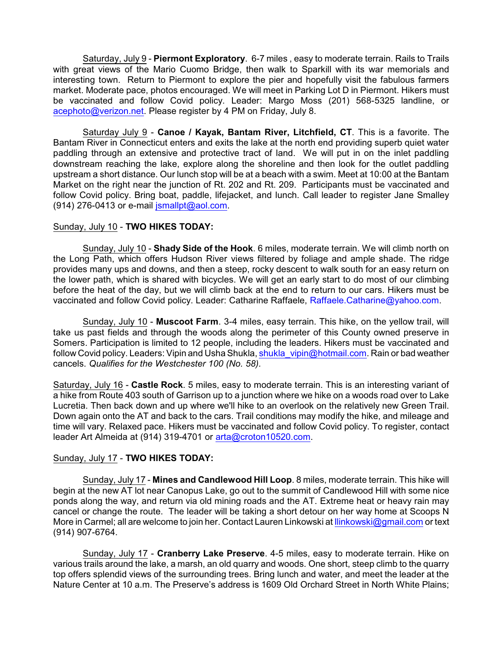Saturday, July 9 - **Piermont Exploratory**. 6-7 miles , easy to moderate terrain. Rails to Trails with great views of the Mario Cuomo Bridge, then walk to Sparkill with its war memorials and interesting town. Return to Piermont to explore the pier and hopefully visit the fabulous farmers market. Moderate pace, photos encouraged. We will meet in Parking Lot D in Piermont. Hikers must be vaccinated and follow Covid policy. Leader: Margo Moss (201) 568-5325 landline, or [acephoto@verizon.net](mailto:acephoto@verizon.net). Please register by 4 PM on Friday, July 8.

Saturday July 9 - **Canoe / Kayak, Bantam River, Litchfield, CT**. This is a favorite. The Bantam River in Connecticut enters and exits the lake at the north end providing superb quiet water paddling through an extensive and protective tract of land. We will put in on the inlet paddling downstream reaching the lake, explore along the shoreline and then look for the outlet paddling upstream a short distance. Our lunch stop will be at a beach with a swim. Meet at 10:00 at the Bantam Market on the right near the junction of Rt. 202 and Rt. 209. Participants must be vaccinated and follow Covid policy. Bring boat, paddle, lifejacket, and lunch. Call leader to register Jane Smalley (914) 276-0413 or e-mail [jsmallpt@aol.com](mailto:jsmallpt@aol.com).

### Sunday, July 10 - **TWO HIKES TODAY:**

Sunday, July 10 - **Shady Side of the Hook**. 6 miles, moderate terrain. We will climb north on the Long Path, which offers Hudson River views filtered by foliage and ample shade. The ridge provides many ups and downs, and then a steep, rocky descent to walk south for an easy return on the lower path, which is shared with bicycles. We will get an early start to do most of our climbing before the heat of the day, but we will climb back at the end to return to our cars. Hikers must be vaccinated and follow Covid policy. Leader: Catharine Raffaele, Raffaele.Catharine@yahoo.com.

Sunday, July 10 - **Muscoot Farm**. 3-4 miles, easy terrain. This hike, on the yellow trail, will take us past fields and through the woods along the perimeter of this County owned preserve in Somers. Participation is limited to 12 people, including the leaders. Hikers must be vaccinated and follow Covid policy. Leaders: Vipin and Usha Shukla, [shukla\\_vipin@hotmail.com](mailto:shukla_vipin@hotmail.com). Rain or bad weather cancels. *Qualifies for the Westchester 100 (No. 58).*

Saturday, July 16 - **Castle Rock**. 5 miles, easy to moderate terrain. This is an interesting variant of a hike from Route 403 south of Garrison up to a junction where we hike on a woods road over to Lake Lucretia. Then back down and up where we'll hike to an overlook on the relatively new Green Trail. Down again onto the AT and back to the cars. Trail conditions may modify the hike, and mileage and time will vary. Relaxed pace. Hikers must be vaccinated and follow Covid policy. To register, contact leader Art Almeida at (914) 319-4701 or [arta@croton10520.com](mailto:arta@croton10520.com).

# Sunday, July 17 - **TWO HIKES TODAY:**

Sunday, July 17 - **Mines and Candlewood Hill Loop**. 8 miles, moderate terrain. This hike will begin at the new AT lot near Canopus Lake, go out to the summit of Candlewood Hill with some nice ponds along the way, and return via old mining roads and the AT. Extreme heat or heavy rain may cancel or change the route. The leader will be taking a short detour on her way home at Scoops N More in Carmel; all are welcome to join her. Contact Lauren Linkowski at [llinkowski@gmail.com](mailto:llinkowski@gmail.com) or text (914) 907-6764.

Sunday, July 17 - **Cranberry Lake Preserve**. 4-5 miles, easy to moderate terrain. Hike on various trails around the lake, a marsh, an old quarry and woods. One short, steep climb to the quarry top offers splendid views of the surrounding trees. Bring lunch and water, and meet the leader at the Nature Center at 10 a.m. The Preserve's address is 1609 Old Orchard Street in North White Plains;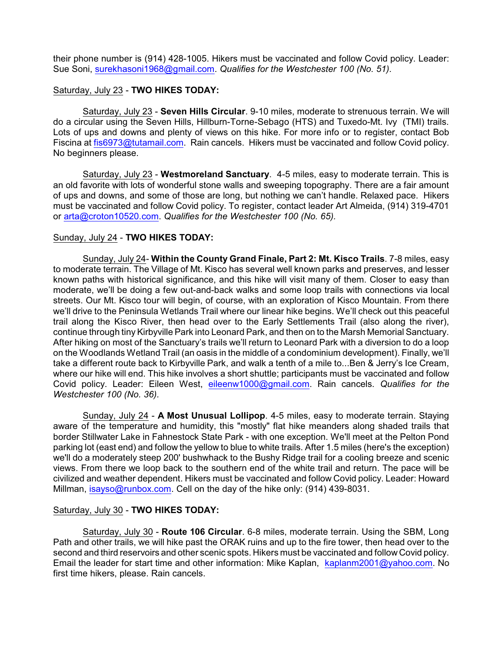their phone number is (914) 428-1005. Hikers must be vaccinated and follow Covid policy. Leader: Sue Soni, [surekhasoni1968@gmail.com](mailto:surekhasoni1968@gmail.com). *Qualifies for the Westchester 100 (No. 51).*

#### Saturday, July 23 - **TWO HIKES TODAY:**

Saturday, July 23 - **Seven Hills Circular**. 9-10 miles, moderate to strenuous terrain. We will do a circular using the Seven Hills, Hillburn-Torne-Sebago (HTS) and Tuxedo-Mt. Ivy (TMI) trails. Lots of ups and downs and plenty of views on this hike. For more info or to register, contact Bob Fiscina at [fis6973@tutamail.com](mailto:fis6973@tutamail.com). Rain cancels. Hikers must be vaccinated and follow Covid policy. No beginners please.

Saturday, July 23 - **Westmoreland Sanctuary**. 4-5 miles, easy to moderate terrain. This is an old favorite with lots of wonderful stone walls and sweeping topography. There are a fair amount of ups and downs, and some of those are long, but nothing we can't handle. Relaxed pace. Hikers must be vaccinated and follow Covid policy. To register, contact leader Art Almeida, (914) 319-4701 or [arta@croton10520.com](mailto:arta@croton10520.com). *Qualifies for the Westchester 100 (No. 65).*

### Sunday, July 24 - **TWO HIKES TODAY:**

Sunday, July 24- **Within the County Grand Finale, Part 2: Mt. Kisco Trails**. 7-8 miles, easy to moderate terrain. The Village of Mt. Kisco has several well known parks and preserves, and lesser known paths with historical significance, and this hike will visit many of them. Closer to easy than moderate, we'll be doing a few out-and-back walks and some loop trails with connections via local streets. Our Mt. Kisco tour will begin, of course, with an exploration of Kisco Mountain. From there we'll drive to the Peninsula Wetlands Trail where our linear hike begins. We'll check out this peaceful trail along the Kisco River, then head over to the Early Settlements Trail (also along the river), continue through tiny Kirbyville Park into Leonard Park, and then on to the Marsh Memorial Sanctuary. After hiking on most of the Sanctuary's trails we'll return to Leonard Park with a diversion to do a loop on the Woodlands Wetland Trail (an oasis in the middle of a condominium development). Finally, we'll take a different route back to Kirbyville Park, and walk a tenth of a mile to...Ben & Jerry's Ice Cream, where our hike will end. This hike involves a short shuttle; participants must be vaccinated and follow Covid policy. Leader: Eileen West, [eileenw1000@gmail.com](mailto:eileenw1000@gmail.com). Rain cancels. *Qualifies for the Westchester 100 (No. 36).*

Sunday, July 24 - **A Most Unusual Lollipop**. 4-5 miles, easy to moderate terrain. Staying aware of the temperature and humidity, this "mostly" flat hike meanders along shaded trails that border Stillwater Lake in Fahnestock State Park - with one exception. We'll meet at the Pelton Pond parking lot (east end) and follow the yellow to blue to white trails. After 1.5 miles (here's the exception) we'll do a moderately steep 200' bushwhack to the Bushy Ridge trail for a cooling breeze and scenic views. From there we loop back to the southern end of the white trail and return. The pace will be civilized and weather dependent. Hikers must be vaccinated and follow Covid policy. Leader: Howard Millman, [isayso@runbox.com](mailto:isayso@runbox.com). Cell on the day of the hike only: (914) 439-8031.

#### Saturday, July 30 - **TWO HIKES TODAY:**

Saturday, July 30 - **Route 106 Circular**. 6-8 miles, moderate terrain. Using the SBM, Long Path and other trails, we will hike past the ORAK ruins and up to the fire tower, then head over to the second and third reservoirs and other scenic spots. Hikers must be vaccinated and follow Covid policy. Email the leader for start time and other information: Mike Kaplan, [kaplanm2001@yahoo.com](mailto:kaplanm2001@yahoo.com). No first time hikers, please. Rain cancels.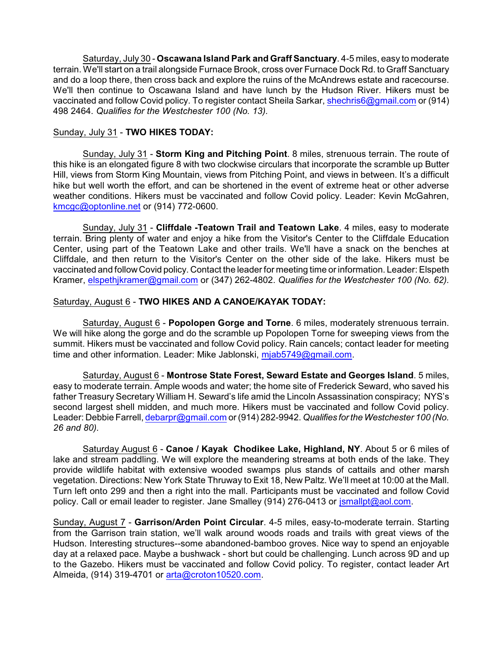Saturday, July 30 - **Oscawana Island Park and Graff Sanctuary**. 4-5 miles, easy to moderate terrain. We'll start on a trail alongside Furnace Brook, cross over Furnace Dock Rd. to Graff Sanctuary and do a loop there, then cross back and explore the ruins of the McAndrews estate and racecourse. We'll then continue to Oscawana Island and have lunch by the Hudson River. Hikers must be vaccinated and follow Covid policy. To register contact Sheila Sarkar, [shechris6@gmail.com](mailto:shechris6@gmail.com) or (914) 498 2464. *Qualifies for the Westchester 100 (No. 13).*

# Sunday, July 31 - **TWO HIKES TODAY:**

Sunday, July 31 - **Storm King and Pitching Point**. 8 miles, strenuous terrain. The route of this hike is an elongated figure 8 with two clockwise circulars that incorporate the scramble up Butter Hill, views from Storm King Mountain, views from Pitching Point, and views in between. It's a difficult hike but well worth the effort, and can be shortened in the event of extreme heat or other adverse weather conditions. Hikers must be vaccinated and follow Covid policy. Leader: Kevin McGahren, [kmcgc@optonline.net](mailto:kmcgc@optonline.net) or (914) 772-0600.

Sunday, July 31 - **Cliffdale -Teatown Trail and Teatown Lake**. 4 miles, easy to moderate terrain. Bring plenty of water and enjoy a hike from the Visitor's Center to the Cliffdale Education Center, using part of the Teatown Lake and other trails. We'll have a snack on the benches at Cliffdale, and then return to the Visitor's Center on the other side of the lake. Hikers must be vaccinated and follow Covid policy. Contact the leader for meeting time or information. Leader: Elspeth Kramer, [elspethjkramer@gmail.com](mailto:elspethjkramer@gmail.com) or (347) 262-4802. *Qualifies for the Westchester 100 (No. 62).*

### Saturday, August 6 - **TWO HIKES AND A CANOE/KAYAK TODAY:**

Saturday, August 6 - **Popolopen Gorge and Torne**. 6 miles, moderately strenuous terrain. We will hike along the gorge and do the scramble up Popolopen Torne for sweeping views from the summit. Hikers must be vaccinated and follow Covid policy. Rain cancels; contact leader for meeting time and other information. Leader: Mike Jablonski, [mjab5749@gmail.com](mailto:mjab5749@gmail.com).

Saturday, August 6 - **Montrose State Forest, Seward Estate and Georges Island**. 5 miles, easy to moderate terrain. Ample woods and water; the home site of Frederick Seward, who saved his father Treasury Secretary William H. Seward's life amid the Lincoln Assassination conspiracy; NYS's second largest shell midden, and much more. Hikers must be vaccinated and follow Covid policy. Leader: Debbie Farrell, [debarpr@gmail.com](mailto:debarpr@gmail.com) or(914) 282-9942. *Qualifies fortheWestchester 100 (No. 26 and 80).*

Saturday August 6 - **Canoe / Kayak Chodikee Lake, Highland, NY**. About 5 or 6 miles of lake and stream paddling. We will explore the meandering streams at both ends of the lake. They provide wildlife habitat with extensive wooded swamps plus stands of cattails and other marsh vegetation. Directions: New York State Thruway to Exit 18, New Paltz. We'll meet at 10:00 at the Mall. Turn left onto 299 and then a right into the mall. Participants must be vaccinated and follow Covid policy. Call or email leader to register. Jane Smalley (914) 276-0413 or [jsmallpt@aol.com](mailto:jsmallpt@aol.com).

Sunday, August 7 - **Garrison/Arden Point Circular**. 4-5 miles, easy-to-moderate terrain. Starting from the Garrison train station, we'll walk around woods roads and trails with great views of the Hudson. Interesting structures--some abandoned-bamboo groves. Nice way to spend an enjoyable day at a relaxed pace. Maybe a bushwack - short but could be challenging. Lunch across 9D and up to the Gazebo. Hikers must be vaccinated and follow Covid policy. To register, contact leader Art Almeida, (914) 319-4701 or [arta@croton10520.com](mailto:arta@croton10520.com).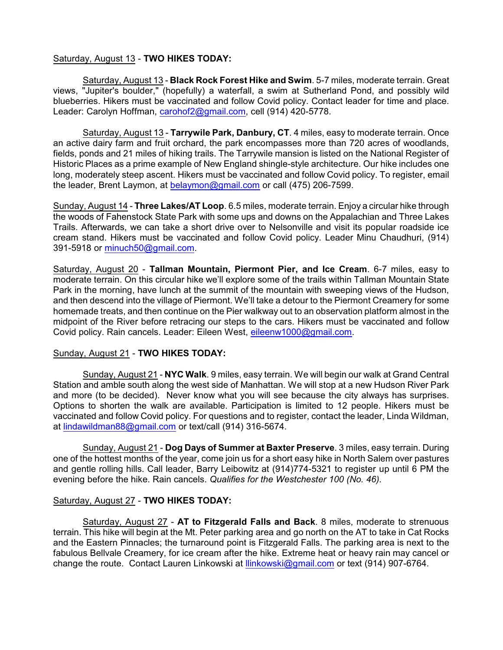### Saturday, August 13 - **TWO HIKES TODAY:**

Saturday, August 13 - **Black Rock Forest Hike and Swim**. 5-7 miles, moderate terrain. Great views, "Jupiter's boulder," (hopefully) a waterfall, a swim at Sutherland Pond, and possibly wild blueberries. Hikers must be vaccinated and follow Covid policy. Contact leader for time and place. Leader: Carolyn Hoffman, [carohof2@gmail.com](mailto:carohof2@gmail.com), cell (914) 420-5778.

Saturday, August 13 - **Tarrywile Park, Danbury, CT**. 4 miles, easy to moderate terrain. Once an active dairy farm and fruit orchard, the park encompasses more than 720 acres of woodlands, fields, ponds and 21 miles of hiking trails. The Tarrywile mansion is listed on the National Register of Historic Places as a prime example of New England shingle-style architecture. Our hike includes one long, moderately steep ascent. Hikers must be vaccinated and follow Covid policy. To register, email the leader, Brent Laymon, at [belaymon@gmail.com](mailto:belaymon@gmail.com) or call (475) 206-7599.

Sunday, August 14 - **Three Lakes/AT Loop**. 6.5 miles, moderate terrain. Enjoy a circular hike through the woods of Fahenstock State Park with some ups and downs on the Appalachian and Three Lakes Trails. Afterwards, we can take a short drive over to Nelsonville and visit its popular roadside ice cream stand. Hikers must be vaccinated and follow Covid policy. Leader Minu Chaudhuri, (914) 391-5918 or [minuch50@gmail.com](mailto:minuch50@gmail.com).

Saturday, August 20 - **Tallman Mountain, Piermont Pier, and Ice Cream**. 6-7 miles, easy to moderate terrain. On this circular hike we'll explore some of the trails within Tallman Mountain State Park in the morning, have lunch at the summit of the mountain with sweeping views of the Hudson, and then descend into the village of Piermont. We'll take a detour to the Piermont Creamery for some homemade treats, and then continue on the Pier walkway out to an observation platform almost in the midpoint of the River before retracing our steps to the cars. Hikers must be vaccinated and follow Covid policy. Rain cancels. Leader: Eileen West, [eileenw1000@gmail.com](mailto:eileenw1000@gmail.com).

#### Sunday, August 21 - **TWO HIKES TODAY:**

Sunday, August 21 - **NYC Walk**. 9 miles, easy terrain. We will begin our walk at Grand Central Station and amble south along the west side of Manhattan. We will stop at a new Hudson River Park and more (to be decided). Never know what you will see because the city always has surprises. Options to shorten the walk are available. Participation is limited to 12 people. Hikers must be vaccinated and follow Covid policy. For questions and to register, contact the leader, Linda Wildman, at [lindawildman88@gmail.com](mailto:lindawildman88@gmail.com) or text/call (914) 316-5674.

Sunday, August 21 - **Dog Days of Summer at Baxter Preserve**. 3 miles, easy terrain. During one of the hottest months of the year, come join us for a short easy hike in North Salem over pastures and gentle rolling hills. Call leader, Barry Leibowitz at (914)774-5321 to register up until 6 PM the evening before the hike. Rain cancels. *Qualifies for the Westchester 100 (No. 46).*

#### Saturday, August 27 - **TWO HIKES TODAY:**

Saturday, August 27 - **AT to Fitzgerald Falls and Back**. 8 miles, moderate to strenuous terrain. This hike will begin at the Mt. Peter parking area and go north on the AT to take in Cat Rocks and the Eastern Pinnacles; the turnaround point is Fitzgerald Falls. The parking area is next to the fabulous Bellvale Creamery, for ice cream after the hike. Extreme heat or heavy rain may cancel or change the route. Contact Lauren Linkowski at **Ilinkowski@gmail.com** or text (914) 907-6764.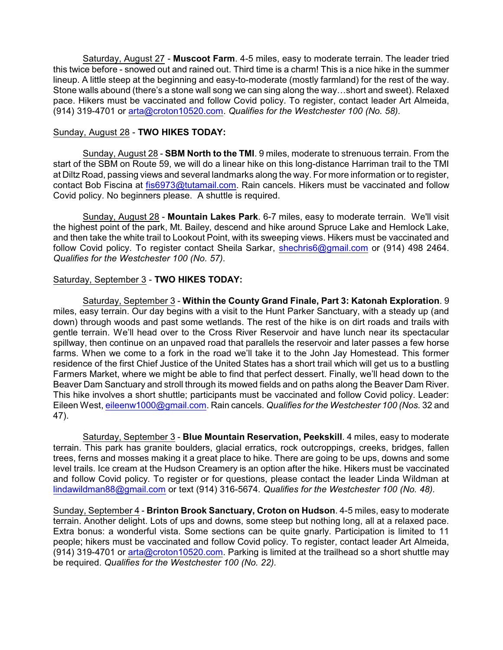Saturday, August 27 - **Muscoot Farm**. 4-5 miles, easy to moderate terrain. The leader tried this twice before - snowed out and rained out. Third time is a charm! This is a nice hike in the summer lineup. A little steep at the beginning and easy-to-moderate (mostly farmland) for the rest of the way. Stone walls abound (there's a stone wall song we can sing along the way…short and sweet). Relaxed pace. Hikers must be vaccinated and follow Covid policy. To register, contact leader Art Almeida, (914) 319-4701 or [arta@croton10520.com](mailto:arta@croton10520.com). *Qualifies for the Westchester 100 (No. 58).*

# Sunday, August 28 - **TWO HIKES TODAY:**

Sunday, August 28 - **SBM North to the TMI**. 9 miles, moderate to strenuous terrain. From the start of the SBM on Route 59, we will do a linear hike on this long-distance Harriman trail to the TMI at Diltz Road, passing views and several landmarks along the way. For more information or to register, contact Bob Fiscina at [fis6973@tutamail.com](mailto:fis6973@tutamail.com). Rain cancels. Hikers must be vaccinated and follow Covid policy. No beginners please. A shuttle is required.

Sunday, August 28 - **Mountain Lakes Park**. 6-7 miles, easy to moderate terrain. We'll visit the highest point of the park, Mt. Bailey, descend and hike around Spruce Lake and Hemlock Lake, and then take the white trail to Lookout Point, with its sweeping views. Hikers must be vaccinated and follow Covid policy. To register contact Sheila Sarkar, [shechris6@gmail.com](mailto:shechris6@gmail.com) or (914) 498 2464. *Qualifies for the Westchester 100 (No. 57).*

# Saturday, September 3 - **TWO HIKES TODAY:**

Saturday, September 3 - **Within the County Grand Finale, Part 3: Katonah Exploration**. 9 miles, easy terrain. Our day begins with a visit to the Hunt Parker Sanctuary, with a steady up (and down) through woods and past some wetlands. The rest of the hike is on dirt roads and trails with gentle terrain. We'll head over to the Cross River Reservoir and have lunch near its spectacular spillway, then continue on an unpaved road that parallels the reservoir and later passes a few horse farms. When we come to a fork in the road we'll take it to the John Jay Homestead. This former residence of the first Chief Justice of the United States has a short trail which will get us to a bustling Farmers Market, where we might be able to find that perfect dessert. Finally, we'll head down to the Beaver Dam Sanctuary and stroll through its mowed fields and on paths along the Beaver Dam River. This hike involves a short shuttle; participants must be vaccinated and follow Covid policy. Leader: Eileen West, [eileenw1000@gmail.com](mailto:eileenw1000@gmail.com). Rain cancels. *Qualifies for the Westchester 100 (Nos.* 32 and 47).

Saturday, September 3 - **Blue Mountain Reservation, Peekskill**. 4 miles, easy to moderate terrain. This park has granite boulders, glacial erratics, rock outcroppings, creeks, bridges, fallen trees, ferns and mosses making it a great place to hike. There are going to be ups, downs and some level trails. Ice cream at the Hudson Creamery is an option after the hike. Hikers must be vaccinated and follow Covid policy. To register or for questions, please contact the leader Linda Wildman at [lindawildman88@gmail.com](mailto:lindawildman88@gmail.com) or text (914) 316-5674. *Qualifies for the Westchester 100 (No. 48).*

Sunday, September 4 - **Brinton Brook Sanctuary, Croton on Hudson**. 4-5 miles, easy to moderate terrain. Another delight. Lots of ups and downs, some steep but nothing long, all at a relaxed pace. Extra bonus: a wonderful vista. Some sections can be quite gnarly. Participation is limited to 11 people; hikers must be vaccinated and follow Covid policy. To register, contact leader Art Almeida,  $(914)$  319-4701 or [arta@croton10520.com](mailto:arta@croton10520.com). Parking is limited at the trailhead so a short shuttle may be required. *Qualifies for the Westchester 100 (No. 22).*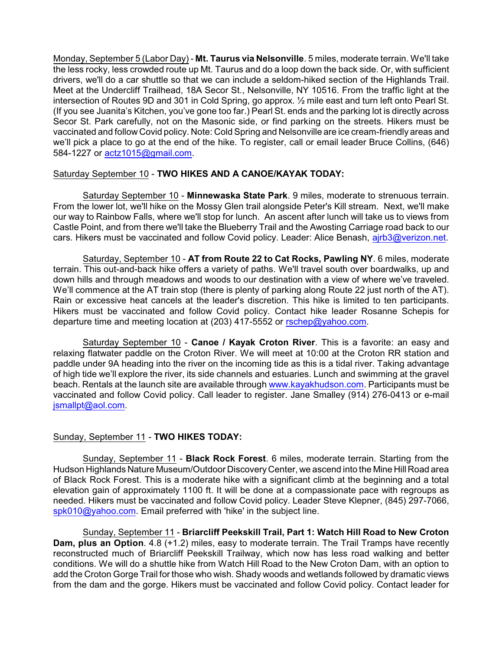Monday, September 5 (Labor Day) - **Mt. Taurus via Nelsonville**. 5 miles, moderate terrain. We'll take the less rocky, less crowded route up Mt. Taurus and do a loop down the back side. Or, with sufficient drivers, we'll do a car shuttle so that we can include a seldom-hiked section of the Highlands Trail. Meet at the Undercliff Trailhead, 18A Secor St., Nelsonville, NY 10516. From the traffic light at the intersection of Routes 9D and 301 in Cold Spring, go approx. ½ mile east and turn left onto Pearl St. (If you see Juanita's Kitchen, you've gone too far.) Pearl St. ends and the parking lot is directly across Secor St. Park carefully, not on the Masonic side, or find parking on the streets. Hikers must be vaccinated and follow Covid policy. Note: Cold Spring and Nelsonville are ice cream-friendly areas and we'll pick a place to go at the end of the hike. To register, call or email leader Bruce Collins, (646) 584-1227 or [actz1015@gmail.com](mailto:actz1015@gmail.com).

# Saturday September 10 - **TWO HIKES AND A CANOE/KAYAK TODAY:**

Saturday September 10 - **Minnewaska State Park**. 9 miles, moderate to strenuous terrain. From the lower lot, we'll hike on the Mossy Glen trail alongside Peter's Kill stream. Next, we'll make our way to Rainbow Falls, where we'll stop for lunch. An ascent after lunch will take us to views from Castle Point, and from there we'll take the Blueberry Trail and the Awosting Carriage road back to our cars. Hikers must be vaccinated and follow Covid policy. Leader: Alice Benash, airb3@verizon.net.

Saturday, September 10 - **AT from Route 22 to Cat Rocks, Pawling NY**. 6 miles, moderate terrain. This out-and-back hike offers a variety of paths. We'll travel south over boardwalks, up and down hills and through meadows and woods to our destination with a view of where we've traveled. We'll commence at the AT train stop (there is plenty of parking along Route 22 just north of the AT). Rain or excessive heat cancels at the leader's discretion. This hike is limited to ten participants. Hikers must be vaccinated and follow Covid policy. Contact hike leader Rosanne Schepis for departure time and meeting location at (203) 417-5552 or [rschep@yahoo.com](mailto:rschep@yahoo.com).

Saturday September 10 - **Canoe / Kayak Croton River**. This is a favorite: an easy and relaxing flatwater paddle on the Croton River. We will meet at 10:00 at the Croton RR station and paddle under 9A heading into the river on the incoming tide as this is a tidal river. Taking advantage of high tide we'll explore the river, its side channels and estuaries. Lunch and swimming at the gravel beach. Rentals at the launch site are available through [www.kayakhudson.com](http://www.kayakhudson.com). Participants must be vaccinated and follow Covid policy. Call leader to register. Jane Smalley (914) 276-0413 or e-mail [jsmallpt@aol.com](mailto:jsmallpt@aol.com).

# Sunday, September 11 - **TWO HIKES TODAY:**

Sunday, September 11 - **Black Rock Forest**. 6 miles, moderate terrain. Starting from the Hudson Highlands Nature Museum/Outdoor Discovery Center, we ascend into the Mine Hill Road area of Black Rock Forest. This is a moderate hike with a significant climb at the beginning and a total elevation gain of approximately 1100 ft. It will be done at a compassionate pace with regroups as needed. Hikers must be vaccinated and follow Covid policy. Leader Steve Klepner, (845) 297-7066, [spk010@yahoo.com](mailto:spk010@yahoo.com). Email preferred with 'hike' in the subject line.

Sunday, September 11 - **Briarcliff Peekskill Trail, Part 1: Watch Hill Road to New Croton Dam, plus an Option**. 4.8 (+1.2) miles, easy to moderate terrain. The Trail Tramps have recently reconstructed much of Briarcliff Peekskill Trailway, which now has less road walking and better conditions. We will do a shuttle hike from Watch Hill Road to the New Croton Dam, with an option to add the Croton Gorge Trail for those who wish. Shady woods and wetlands followed by dramatic views from the dam and the gorge. Hikers must be vaccinated and follow Covid policy. Contact leader for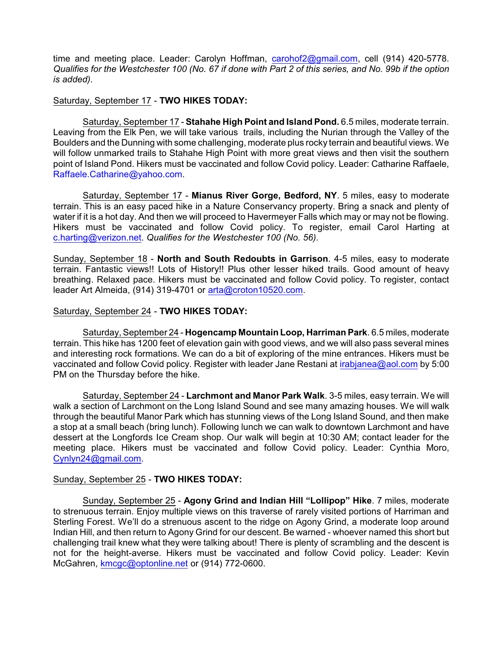time and meeting place. Leader: Carolyn Hoffman, [carohof2@gmail.com](mailto:carohof2@gmail.com), cell (914) 420-5778. *Qualifies for the Westchester 100 (No. 67 if done with Part 2 of this series, and No. 99b if the option is added).*

#### Saturday, September 17 - **TWO HIKES TODAY:**

Saturday, September 17 - **Stahahe High Point and Island Pond.** 6.5 miles, moderate terrain. Leaving from the Elk Pen, we will take various trails, including the Nurian through the Valley of the Boulders and the Dunning with some challenging, moderate plus rocky terrain and beautiful views. We will follow unmarked trails to Stahahe High Point with more great views and then visit the southern point of Island Pond. Hikers must be vaccinated and follow Covid policy. Leader: Catharine Raffaele, Raffaele.Catharine@yahoo.com.

Saturday, September 17 - **Mianus River Gorge, Bedford, NY**. 5 miles, easy to moderate terrain. This is an easy paced hike in a Nature Conservancy property. Bring a snack and plenty of water if it is a hot day. And then we will proceed to Havermeyer Falls which may or may not be flowing. Hikers must be vaccinated and follow Covid policy. To register, email Carol Harting at [c.harting@verizon.net](mailto:c.harting@verizon.net). *Qualifies for the Westchester 100 (No. 56).*

Sunday, September 18 - **North and South Redoubts in Garrison**. 4-5 miles, easy to moderate terrain. Fantastic views!! Lots of History!! Plus other lesser hiked trails. Good amount of heavy breathing. Relaxed pace. Hikers must be vaccinated and follow Covid policy. To register, contact leader Art Almeida, (914) 319-4701 or [arta@croton10520.com](mailto:arta@croton10520.com).

### Saturday, September 24 - **TWO HIKES TODAY:**

Saturday, September 24 - **Hogencamp Mountain Loop, Harriman Park**. 6.5 miles, moderate terrain. This hike has 1200 feet of elevation gain with good views, and we will also pass several mines and interesting rock formations. We can do a bit of exploring of the mine entrances. Hikers must be vaccinated and follow Covid policy. Register with leader Jane Restani at *[irabjanea@aol.com](mailto:irabjanea@aol.com)* by 5:00 PM on the Thursday before the hike.

Saturday, September 24 - **Larchmont and Manor Park Walk**. 3-5 miles, easy terrain. We will walk a section of Larchmont on the Long Island Sound and see many amazing houses. We will walk through the beautiful Manor Park which has stunning views of the Long Island Sound, and then make a stop at a small beach (bring lunch). Following lunch we can walk to downtown Larchmont and have dessert at the Longfords Ice Cream shop. Our walk will begin at 10:30 AM; contact leader for the meeting place. Hikers must be vaccinated and follow Covid policy. Leader: Cynthia Moro, [Cynlyn24@gmail.com](mailto:Cynlyn24@gmail.com).

# Sunday, September 25 - **TWO HIKES TODAY:**

Sunday, September 25 - **Agony Grind and Indian Hill "Lollipop" Hike**. 7 miles, moderate to strenuous terrain. Enjoy multiple views on this traverse of rarely visited portions of Harriman and Sterling Forest. We'll do a strenuous ascent to the ridge on Agony Grind, a moderate loop around Indian Hill, and then return to Agony Grind for our descent. Be warned - whoever named this short but challenging trail knew what they were talking about! There is plenty of scrambling and the descent is not for the height-averse. Hikers must be vaccinated and follow Covid policy. Leader: Kevin McGahren, [kmcgc@optonline.net](mailto:kmcgc@optonline.net) or (914) 772-0600.